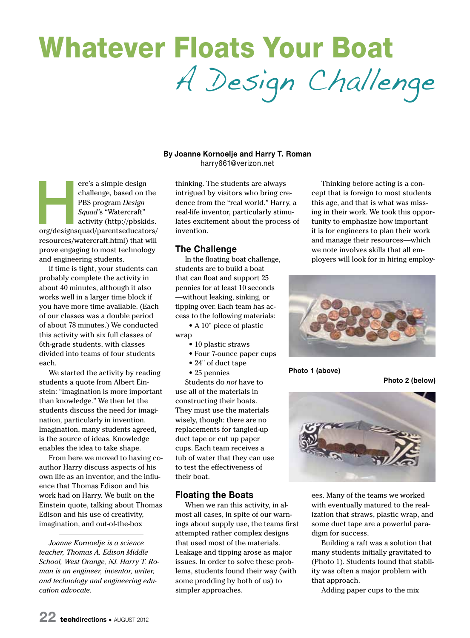# Whatever Floats Your Boat A Design Challenge

#### **By Joanne Kornoelje and Harry T. Roman** harry661@verizon.net

ere's a simple design<br>
challenge, based on the<br>
PBS program *Design<br>
Squad's* "Watercraft"<br>
activity (http://pbskids.<br>
org/designsquad/parentseducators/ challenge, based on the PBS program *Design Squad'*s "Watercraft" activity (http://pbskids. resources/watercraft.html) that will prove engaging to most technology and engineering students.

If time is tight, your students can probably complete the activity in about 40 minutes, although it also works well in a larger time block if you have more time available. (Each of our classes was a double period of about 78 minutes.) We conducted this activity with six full classes of 6th-grade students, with classes divided into teams of four students each.

We started the activity by reading students a quote from Albert Einstein: "Imagination is more important than knowledge." We then let the students discuss the need for imagination, particularly in invention. Imagination, many students agreed, is the source of ideas. Knowledge enables the idea to take shape.

From here we moved to having coauthor Harry discuss aspects of his own life as an inventor, and the influence that Thomas Edison and his work had on Harry. We built on the Einstein quote, talking about Thomas Edison and his use of creativity, imagination, and out-of-the-box

*Joanne Kornoelje is a science teacher, Thomas A. Edison Middle School, West Orange, NJ. Harry T. Roman is an engineer, inventor, writer, and technology and engineering education advocate.*

thinking. The students are always intrigued by visitors who bring credence from the "real world." Harry, a real-life inventor, particularly stimulates excitement about the process of invention.

#### **The Challenge**

In the floating boat challenge, students are to build a boat that can float and support 25 pennies for at least 10 seconds —without leaking, sinking, or tipping over. Each team has access to the following materials:

 • A 10" piece of plastic wrap

- 10 plastic straws
- Four 7-ounce paper cups
- 24" of duct tape
- 25 pennies

Students do *not* have to use all of the materials in constructing their boats. They must use the materials wisely, though: there are no replacements for tangled-up duct tape or cut up paper cups. Each team receives a tub of water that they can use to test the effectiveness of their boat.

#### **Floating the Boats**

When we ran this activity, in almost all cases, in spite of our warnings about supply use, the teams first attempted rather complex designs that used most of the materials. Leakage and tipping arose as major issues. In order to solve these problems, students found their way (with some prodding by both of us) to simpler approaches.

Thinking before acting is a concept that is foreign to most students this age, and that is what was missing in their work. We took this opportunity to emphasize how important it is for engineers to plan their work and manage their resources—which we note involves skills that all employers will look for in hiring employ-



**Photo 1 (above)**

**Photo 2 (below)**



ees. Many of the teams we worked with eventually matured to the realization that straws, plastic wrap, and some duct tape are a powerful paradigm for success.

Building a raft was a solution that many students initially gravitated to (Photo 1). Students found that stability was often a major problem with that approach.

Adding paper cups to the mix